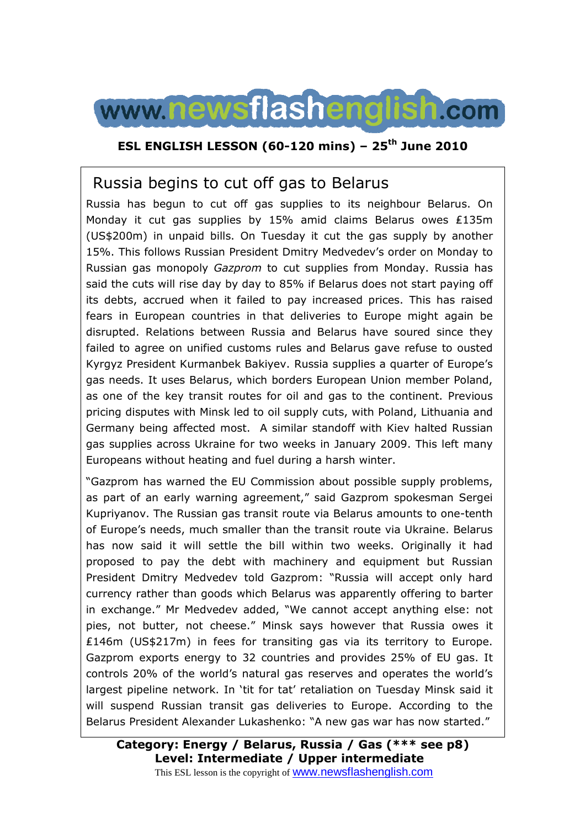

## **ESL ENGLISH LESSON (60-120 mins) – 25th June 2010**

# Russia begins to cut off gas to Belarus

Russia has begun to cut off gas supplies to its neighbour Belarus. On Monday it cut gas supplies by 15% amid claims Belarus owes ₤135m (US\$200m) in unpaid bills. On Tuesday it cut the gas supply by another 15%. This follows Russian President Dmitry Medvedev's order on Monday to Russian gas monopoly *Gazprom* to cut supplies from Monday. Russia has said the cuts will rise day by day to 85% if Belarus does not start paying off its debts, accrued when it failed to pay increased prices. This has raised fears in European countries in that deliveries to Europe might again be disrupted. Relations between Russia and Belarus have soured since they failed to agree on unified customs rules and Belarus gave refuse to ousted Kyrgyz President Kurmanbek Bakiyev. Russia supplies a quarter of Europe's gas needs. It uses Belarus, which borders European Union member Poland, as one of the key transit routes for oil and gas to the continent. Previous pricing disputes with Minsk led to oil supply cuts, with Poland, Lithuania and Germany being affected most. A similar standoff with Kiev halted Russian gas supplies across Ukraine for two weeks in January 2009. This left many Europeans without heating and fuel during a harsh winter.

"Gazprom has warned the EU Commission about possible supply problems, as part of an early warning agreement," said Gazprom spokesman Sergei Kupriyanov. The Russian gas transit route via Belarus amounts to one-tenth of Europe's needs, much smaller than the transit route via Ukraine. Belarus has now said it will settle the bill within two weeks. Originally it had proposed to pay the debt with machinery and equipment but Russian President Dmitry Medvedev told Gazprom: "Russia will accept only hard currency rather than goods which Belarus was apparently offering to barter in exchange." Mr Medvedev added, "We cannot accept anything else: not pies, not butter, not cheese." Minsk says however that Russia owes it ₤146m (US\$217m) in fees for transiting gas via its territory to Europe. Gazprom exports energy to 32 countries and provides 25% of EU gas. It controls 20% of the world's natural gas reserves and operates the world's largest pipeline network. In 'tit for tat' retaliation on Tuesday Minsk said it will suspend Russian transit gas deliveries to Europe. According to the Belarus President Alexander Lukashenko: "A new gas war has now started."

**Category: Energy / Belarus, Russia / Gas (\*\*\* see p8) Level: Intermediate / Upper intermediate** This ESL lesson is the copyright of www.newsflashenglish.com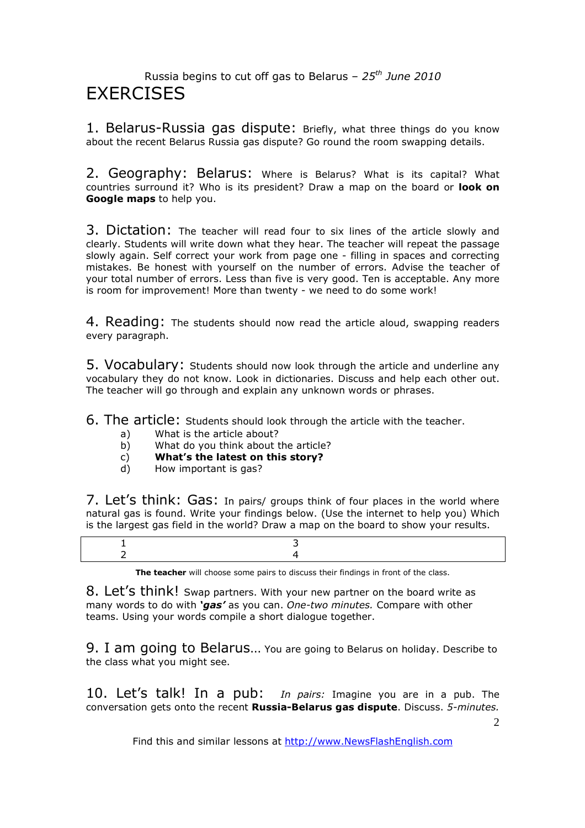## Russia begins to cut off gas to Belarus – *25th June 2010* **FXFRCISES**

1. Belarus-Russia gas dispute: Briefly, what three things do you know about the recent Belarus Russia gas dispute? Go round the room swapping details.

2. Geography: Belarus: Where is Belarus? What is its capital? What countries surround it? Who is its president? Draw a map on the board or **look on Google maps** to help you.

3. Dictation: The teacher will read four to six lines of the article slowly and clearly. Students will write down what they hear. The teacher will repeat the passage slowly again. Self correct your work from page one - filling in spaces and correcting mistakes. Be honest with yourself on the number of errors. Advise the teacher of your total number of errors. Less than five is very good. Ten is acceptable. Any more is room for improvement! More than twenty - we need to do some work!

4. Reading: The students should now read the article aloud, swapping readers every paragraph.

5. Vocabulary: Students should now look through the article and underline any vocabulary they do not know. Look in dictionaries. Discuss and help each other out. The teacher will go through and explain any unknown words or phrases.

6. The article: Students should look through the article with the teacher.

- a) What is the article about?
- b) What do you think about the article?
- c) **What's the latest on this story?**
- d) How important is gas?

7. Let's think: Gas: In pairs/ groups think of four places in the world where natural gas is found. Write your findings below. (Use the internet to help you) Which is the largest gas field in the world? Draw a map on the board to show your results.

**The teacher** will choose some pairs to discuss their findings in front of the class.

8. Let's think! Swap partners. With your new partner on the board write as many words to do with *'gas'* as you can. *One-two minutes.* Compare with other teams. Using your words compile a short dialogue together.

9. I am going to Belarus… You are going to Belarus on holiday. Describe to the class what you might see.

10. Let's talk! In a pub: *In pairs:* Imagine you are in a pub. The conversation gets onto the recent **Russia-Belarus gas dispute**. Discuss. *5-minutes.*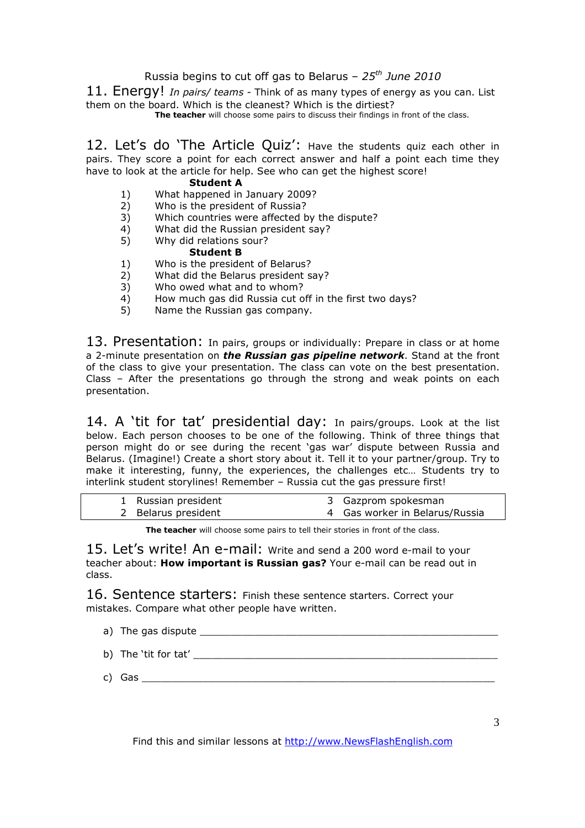### Russia begins to cut off gas to Belarus – *25th June 2010*

11. Energy! *In pairs/ teams -* Think of as many types of energy as you can. List them on the board. Which is the cleanest? Which is the dirtiest?

**The teacher** will choose some pairs to discuss their findings in front of the class.

12. Let's do 'The Article Quiz': Have the students quiz each other in pairs. They score a point for each correct answer and half a point each time they have to look at the article for help. See who can get the highest score!

### **Student A**

- 1) What happened in January 2009?
- 2) Who is the president of Russia?
- 3) Which countries were affected by the dispute?
- 4) What did the Russian president say?
- 5) Why did relations sour?

### **Student B**

- 1) Who is the president of Belarus?
- $2)$  What did the Belarus president say?<br>3) Who owed what and to whom?
- 3) Who owed what and to whom?<br>4) How much gas did Russia cut o
- 4) How much gas did Russia cut off in the first two days?
- 5) Name the Russian gas company.

13. Presentation: In pairs, groups or individually: Prepare in class or at home a 2-minute presentation on *the Russian gas pipeline network*. Stand at the front of the class to give your presentation. The class can vote on the best presentation. Class – After the presentations go through the strong and weak points on each presentation.

14. A 'tit for tat' presidential day: In pairs/groups. Look at the list below. Each person chooses to be one of the following. Think of three things that person might do or see during the recent 'gas war' dispute between Russia and Belarus. (Imagine!) Create a short story about it. Tell it to your partner/group. Try to make it interesting, funny, the experiences, the challenges etc… Students try to interlink student storylines! Remember – Russia cut the gas pressure first!

| 1 Russian president | 3 Gazprom spokesman            |
|---------------------|--------------------------------|
| 2 Belarus president | 4 Gas worker in Belarus/Russia |

**The teacher** will choose some pairs to tell their stories in front of the class.

15. Let's write! An e-mail: Write and send a 200 word e-mail to your teacher about: **How important is Russian gas?** Your e-mail can be read out in class.

16. Sentence starters: Finish these sentence starters. Correct your mistakes. Compare what other people have written.

- a) The gas dispute  $\Box$
- b) The 'tit for tat' \_\_\_\_\_\_\_\_\_\_\_\_\_\_\_\_\_\_\_\_\_\_\_\_\_\_\_\_\_\_\_\_\_\_\_\_\_\_\_\_\_\_\_\_\_\_\_\_\_\_ c) Gas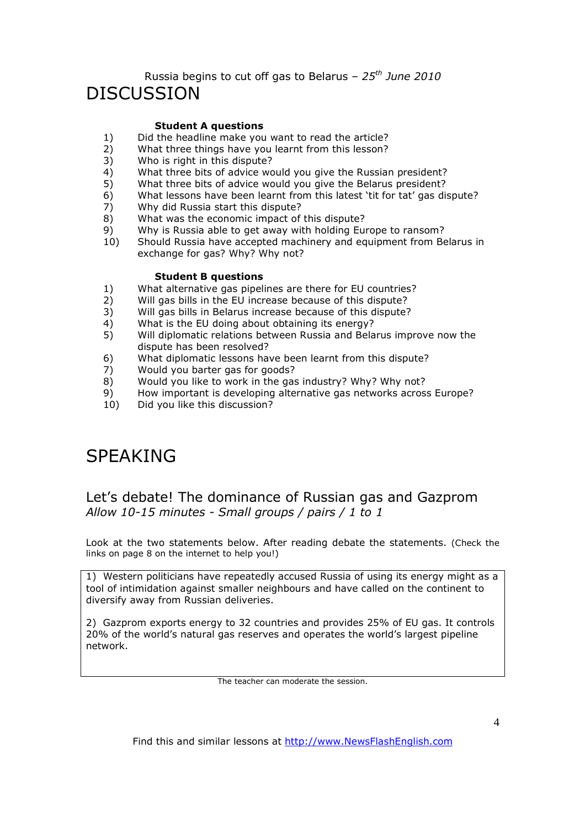## Russia begins to cut off gas to Belarus – *25th June 2010* DISCUSSION

### **Student A questions**

- 1) Did the headline make you want to read the article?<br>2) What three things have you learnt from this lesson?
- What three things have you learnt from this lesson?
- 3) Who is right in this dispute?
- 
- 4) What three bits of advice would you give the Russian president?<br>5) What three bits of advice would you give the Belarus president? What three bits of advice would you give the Belarus president?
- 6) What lessons have been learnt from this latest 'tit for tat' gas dispute?
- 7) Why did Russia start this dispute?
- 8) What was the economic impact of this dispute?
- 9) Why is Russia able to get away with holding Europe to ransom?
- 10) Should Russia have accepted machinery and equipment from Belarus in exchange for gas? Why? Why not?

### **Student B questions**

- 1) What alternative gas pipelines are there for EU countries?
- 2) Will gas bills in the EU increase because of this dispute?
- 3) Will gas bills in Belarus increase because of this dispute?
- 4) What is the EU doing about obtaining its energy?
- 5) Will diplomatic relations between Russia and Belarus improve now the dispute has been resolved?
- 6) What diplomatic lessons have been learnt from this dispute?
- 7) Would you barter gas for goods?<br>8) Would you like to work in the gas
- $8)$  Would you like to work in the gas industry? Why? Why not?<br>9) How important is developing alternative gas networks acros.
- How important is developing alternative gas networks across Europe?
- 10) Did you like this discussion?

# SPEAKING

## Let's debate! The dominance of Russian gas and Gazprom *Allow 10-15 minutes - Small groups / pairs / 1 to 1*

Look at the two statements below. After reading debate the statements. (Check the links on page 8 on the internet to help you!)

1) Western politicians have repeatedly accused Russia of using its energy might as a tool of intimidation against smaller neighbours and have called on the continent to diversify away from Russian deliveries.

2) Gazprom exports energy to 32 countries and provides 25% of EU gas. It controls 20% of the world's natural gas reserves and operates the world's largest pipeline network.

The teacher can moderate the session.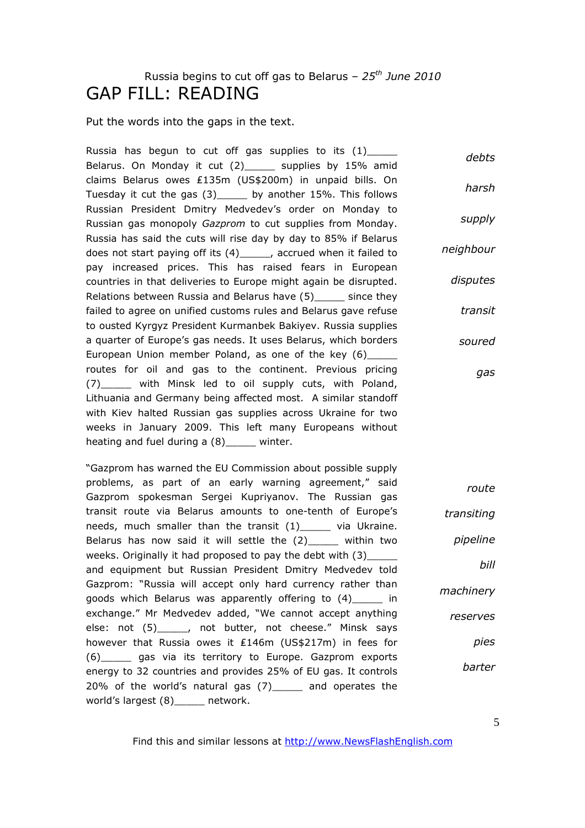# Russia begins to cut off gas to Belarus – *25th June 2010* GAP FILL: READING

Put the words into the gaps in the text.

Russia has begun to cut off gas supplies to its  $(1)$ \_\_\_\_\_ Belarus. On Monday it cut (2)\_\_\_\_\_ supplies by 15% amid claims Belarus owes ₤135m (US\$200m) in unpaid bills. On Tuesday it cut the gas (3)\_\_\_\_\_ by another 15%. This follows Russian President Dmitry Medvedev's order on Monday to Russian gas monopoly *Gazprom* to cut supplies from Monday. Russia has said the cuts will rise day by day to 85% if Belarus does not start paying off its (4)\_\_\_\_\_, accrued when it failed to pay increased prices. This has raised fears in European countries in that deliveries to Europe might again be disrupted. Relations between Russia and Belarus have (5) since they failed to agree on unified customs rules and Belarus gave refuse to ousted Kyrgyz President Kurmanbek Bakiyev. Russia supplies a quarter of Europe's gas needs. It uses Belarus, which borders European Union member Poland, as one of the key (6) routes for oil and gas to the continent. Previous pricing (7)\_\_\_\_\_ with Minsk led to oil supply cuts, with Poland, Lithuania and Germany being affected most. A similar standoff with Kiev halted Russian gas supplies across Ukraine for two weeks in January 2009. This left many Europeans without heating and fuel during a (8) \_\_\_\_\_ winter. *debts harsh supply neighbour disputes transit soured gas*

"Gazprom has warned the EU Commission about possible supply problems, as part of an early warning agreement," said Gazprom spokesman Sergei Kupriyanov. The Russian gas transit route via Belarus amounts to one-tenth of Europe's needs, much smaller than the transit (1)\_\_\_\_\_ via Ukraine. Belarus has now said it will settle the  $(2)$  within two weeks. Originally it had proposed to pay the debt with (3)\_\_\_\_\_\_ and equipment but Russian President Dmitry Medvedev told Gazprom: "Russia will accept only hard currency rather than goods which Belarus was apparently offering to (4)\_\_\_\_\_ in exchange." Mr Medvedev added, "We cannot accept anything else: not (5)\_\_\_\_\_, not butter, not cheese." Minsk says however that Russia owes it ₤146m (US\$217m) in fees for (6)\_\_\_\_\_ gas via its territory to Europe. Gazprom exports energy to 32 countries and provides 25% of EU gas. It controls 20% of the world's natural gas (7)\_\_\_\_\_ and operates the world's largest (8)\_\_\_\_\_ network. *route*

*transiting pipeline bill machinery reserves pies barter*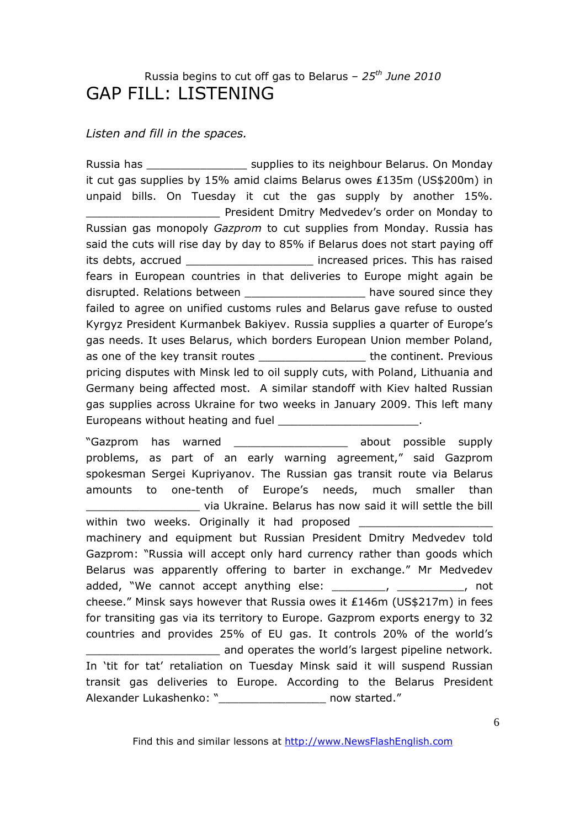## Russia begins to cut off gas to Belarus – *25th June 2010* GAP FILL: LISTENING

### *Listen and fill in the spaces.*

Russia has \_\_\_\_\_\_\_\_\_\_\_\_\_\_\_ supplies to its neighbour Belarus. On Monday it cut gas supplies by 15% amid claims Belarus owes ₤135m (US\$200m) in unpaid bills. On Tuesday it cut the gas supply by another 15%. \_\_\_\_\_\_\_\_\_\_\_\_\_\_\_\_\_\_\_\_ President Dmitry Medvedev's order on Monday to Russian gas monopoly *Gazprom* to cut supplies from Monday. Russia has said the cuts will rise day by day to 85% if Belarus does not start paying off its debts, accrued \_\_\_\_\_\_\_\_\_\_\_\_\_\_\_\_\_\_\_ increased prices. This has raised fears in European countries in that deliveries to Europe might again be disrupted. Relations between entitled as a soured since they failed to agree on unified customs rules and Belarus gave refuse to ousted Kyrgyz President Kurmanbek Bakiyev. Russia supplies a quarter of Europe's gas needs. It uses Belarus, which borders European Union member Poland, as one of the key transit routes \_\_\_\_\_\_\_\_\_\_\_\_\_\_\_\_\_\_\_\_\_ the continent. Previous pricing disputes with Minsk led to oil supply cuts, with Poland, Lithuania and Germany being affected most. A similar standoff with Kiev halted Russian gas supplies across Ukraine for two weeks in January 2009. This left many Europeans without heating and fuel **Europeans** without heating and fuel

"Gazprom has warned \_\_\_\_\_\_\_\_\_\_\_\_\_\_\_\_\_ about possible supply problems, as part of an early warning agreement," said Gazprom spokesman Sergei Kupriyanov. The Russian gas transit route via Belarus amounts to one-tenth of Europe's needs, much smaller than \_\_\_\_\_\_\_\_\_\_\_\_\_\_\_\_\_ via Ukraine. Belarus has now said it will settle the bill within two weeks. Originally it had proposed machinery and equipment but Russian President Dmitry Medvedev told Gazprom: "Russia will accept only hard currency rather than goods which Belarus was apparently offering to barter in exchange." Mr Medvedev added, "We cannot accept anything else: \_\_\_\_\_\_\_, \_\_\_\_\_\_\_\_\_, not cheese." Minsk says however that Russia owes it ₤146m (US\$217m) in fees for transiting gas via its territory to Europe. Gazprom exports energy to 32 countries and provides 25% of EU gas. It controls 20% of the world's and operates the world's largest pipeline network. In 'tit for tat' retaliation on Tuesday Minsk said it will suspend Russian transit gas deliveries to Europe. According to the Belarus President

Find this and similar lessons at http://www.NewsFlashEnglish.com

Alexander Lukashenko: "\_\_\_\_\_\_\_\_\_\_\_\_\_\_\_\_\_\_\_\_\_ now started."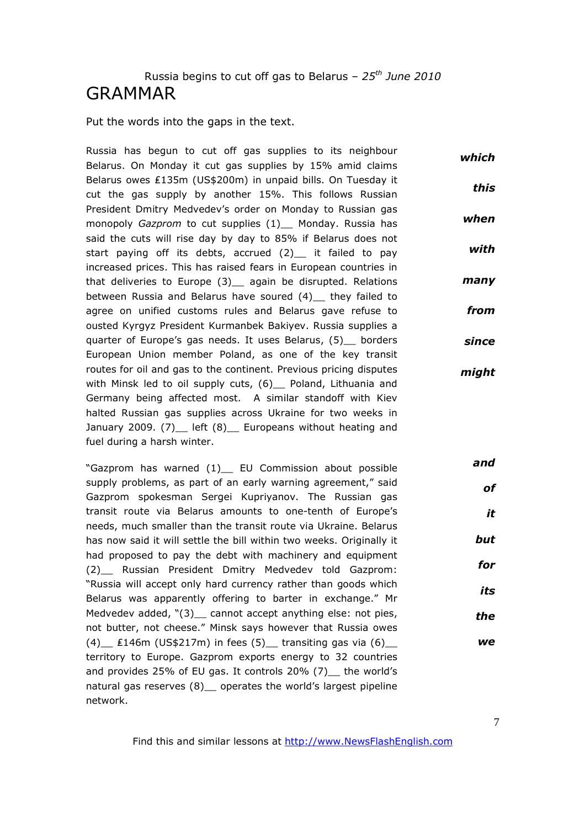## Russia begins to cut off gas to Belarus – *25th June 2010* GRAMMAR

Put the words into the gaps in the text.

Russia has begun to cut off gas supplies to its neighbour Belarus. On Monday it cut gas supplies by 15% amid claims Belarus owes ₤135m (US\$200m) in unpaid bills. On Tuesday it cut the gas supply by another 15%. This follows Russian President Dmitry Medvedev's order on Monday to Russian gas monopoly *Gazprom* to cut supplies (1)\_ Monday. Russia has said the cuts will rise day by day to 85% if Belarus does not start paying off its debts, accrued (2)\_\_ it failed to pay increased prices. This has raised fears in European countries in that deliveries to Europe (3)\_ again be disrupted. Relations between Russia and Belarus have soured (4) they failed to agree on unified customs rules and Belarus gave refuse to ousted Kyrgyz President Kurmanbek Bakiyev. Russia supplies a quarter of Europe's gas needs. It uses Belarus, (5) borders European Union member Poland, as one of the key transit routes for oil and gas to the continent. Previous pricing disputes with Minsk led to oil supply cuts, (6) Poland, Lithuania and Germany being affected most. A similar standoff with Kiev halted Russian gas supplies across Ukraine for two weeks in January 2009. (7) left (8) Europeans without heating and fuel during a harsh winter. *which this when with many from since might*

"Gazprom has warned (1)\_\_ EU Commission about possible supply problems, as part of an early warning agreement," said Gazprom spokesman Sergei Kupriyanov. The Russian gas transit route via Belarus amounts to one-tenth of Europe's needs, much smaller than the transit route via Ukraine. Belarus has now said it will settle the bill within two weeks. Originally it had proposed to pay the debt with machinery and equipment (2)\_\_ Russian President Dmitry Medvedev told Gazprom: "Russia will accept only hard currency rather than goods which Belarus was apparently offering to barter in exchange." Mr Medvedev added, "(3) \_ cannot accept anything else: not pies, not butter, not cheese." Minsk says however that Russia owes (4)  $\pm 146$ m (US\$217m) in fees (5) transiting gas via (6) territory to Europe. Gazprom exports energy to 32 countries and provides 25% of EU gas. It controls 20% (7) the world's natural gas reserves (8) \_ operates the world's largest pipeline network. *and but for its the we*

Find this and similar lessons at http://www.NewsFlashEnglish.com

*of*

*it*